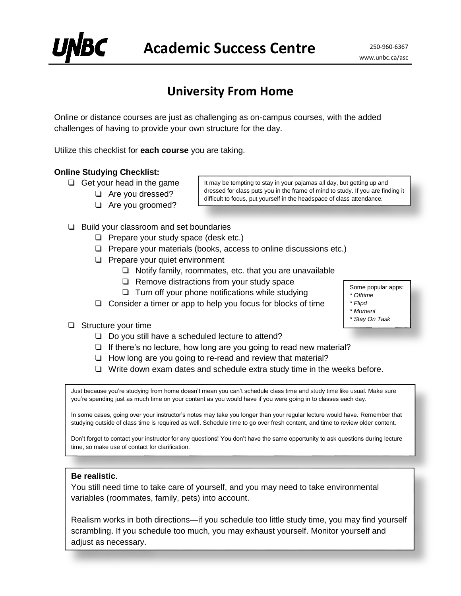# **University From Home**

Online or distance courses are just as challenging as on-campus courses, with the added challenges of having to provide your own structure for the day.

Utilize this checklist for **each course** you are taking.

### **Online Studying Checklist:**

- ❏ Get your head in the game
	- ❏ Are you dressed?
		- ❏ Are you groomed?

It may be tempting to stay in your pajamas all day, but getting up and dressed for class puts you in the frame of mind to study. If you are finding it difficult to focus, put yourself in the headspace of class attendance.

- ❏ Build your classroom and set boundaries
	- ❏ Prepare your study space (desk etc.)
	- ❏ Prepare your materials (books, access to online discussions etc.)
	- ❏ Prepare your quiet environment
		- ❏ Notify family, roommates, etc. that you are unavailable
			- ❏ Remove distractions from your study space
			- ❏ Turn off your phone notifications while studying

❏ Consider a timer or app to help you focus for blocks of time

- ❏ Structure your time
	- ❏ Do you still have a scheduled lecture to attend?
	- ❏ If there's no lecture, how long are you going to read new material?
	- ❏ How long are you going to re-read and review that material?
	- ❏ Write down exam dates and schedule extra study time in the weeks before.

Just because you're studying from home doesn't mean you can't schedule class time and study time like usual. Make sure you're spending just as much time on your content as you would have if you were going in to classes each day.

In some cases, going over your instructor's notes may take you longer than your regular lecture would have. Remember that studying outside of class time is required as well. Schedule time to go over fresh content, and time to review older content.

Don't forget to contact your instructor for any questions! You don't have the same opportunity to ask questions during lecture time, so make use of contact for clarification.

## **Be realistic**.

You still need time to take care of yourself, and you may need to take environmental variables (roommates, family, pets) into account.

Realism works in both directions—if you schedule too little study time, you may find yourself scrambling. If you schedule too much, you may exhaust yourself. Monitor yourself and adjust as necessary.

Some popular apps:

www.unbc.ca/asc

- *\* Offtime*
- *\* Flipd \* Moment*
- *\* Stay On Task*